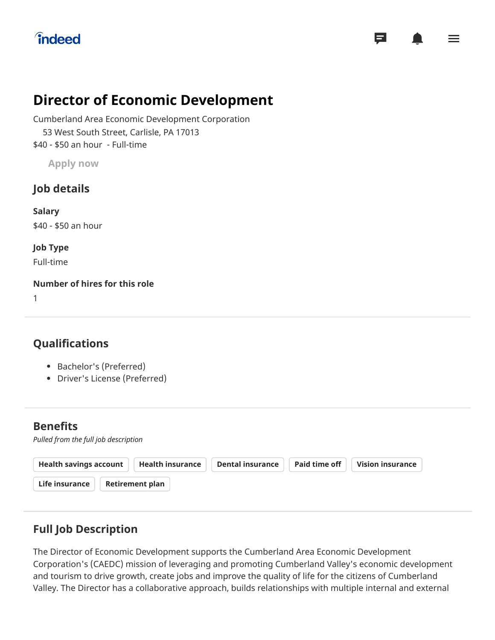# **îndeed**

# **Director of Economic Development**

Cumberland Area Economic Development Corporation \$40 - \$50 an hour - Full-time 53 West South Street, Carlisle, PA 17013

**Apply now**

## **Job details**

**Salary** \$40 - \$50 an hour

**Job Type** Full-time

**Number of hires for this role**

1

# **Qualifications**

- Bachelor's (Preferred)
- Driver's License (Preferred)

### **Benefits**

*Pulled from the full job description*

| Retirement plan<br>Life insurance | <b>Health savings account</b> | <b>Health insurance</b> | <b>Dental insurance</b> | Paid time off | Vision insurance |
|-----------------------------------|-------------------------------|-------------------------|-------------------------|---------------|------------------|
|                                   |                               |                         |                         |               |                  |

# **Full Job Description**

The Director of Economic Development supports the Cumberland Area Economic Development Corporation's (CAEDC) mission of leveraging and promoting Cumberland Valley's economic development and tourism to drive growth, create jobs and improve the quality of life for the citizens of Cumberland Valley. The Director has a collaborative approach, builds relationships with multiple internal and external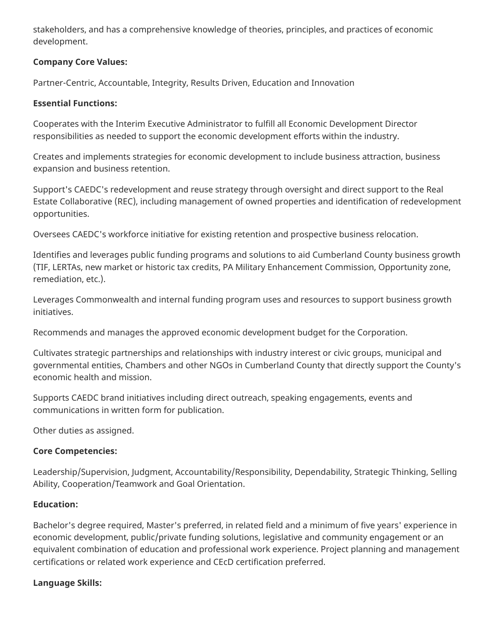stakeholders, and has a comprehensive knowledge of theories, principles, and practices of economic development.

#### **Company Core Values:**

Partner-Centric, Accountable, Integrity, Results Driven, Education and Innovation

#### **Essential Functions:**

Cooperates with the Interim Executive Administrator to fulfill all Economic Development Director responsibilities as needed to support the economic development efforts within the industry.

Creates and implements strategies for economic development to include business attraction, business expansion and business retention.

Support's CAEDC's redevelopment and reuse strategy through oversight and direct support to the Real Estate Collaborative (REC), including management of owned properties and identification of redevelopment opportunities.

Oversees CAEDC's workforce initiative for existing retention and prospective business relocation.

Identifies and leverages public funding programs and solutions to aid Cumberland County business growth (TIF, LERTAs, new market or historic tax credits, PA Military Enhancement Commission, Opportunity zone, remediation, etc.).

Leverages Commonwealth and internal funding program uses and resources to support business growth initiatives.

Recommends and manages the approved economic development budget for the Corporation.

Cultivates strategic partnerships and relationships with industry interest or civic groups, municipal and governmental entities, Chambers and other NGOs in Cumberland County that directly support the County's economic health and mission.

Supports CAEDC brand initiatives including direct outreach, speaking engagements, events and communications in written form for publication.

Other duties as assigned.

#### **Core Competencies:**

Leadership/Supervision, Judgment, Accountability/Responsibility, Dependability, Strategic Thinking, Selling Ability, Cooperation/Teamwork and Goal Orientation.

#### **Education:**

Bachelor's degree required, Master's preferred, in related field and a minimum of five years' experience in economic development, public/private funding solutions, legislative and community engagement or an equivalent combination of education and professional work experience. Project planning and management certifications or related work experience and CEcD certification preferred.

#### **Language Skills:**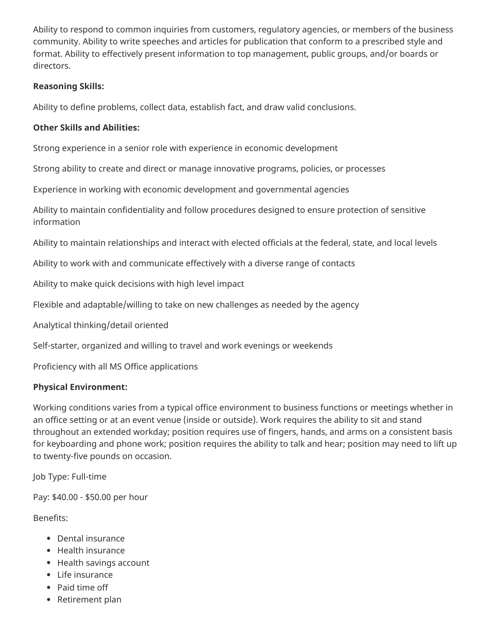Ability to respond to common inquiries from customers, regulatory agencies, or members of the business community. Ability to write speeches and articles for publication that conform to a prescribed style and format. Ability to effectively present information to top management, public groups, and/or boards or directors.

#### **Reasoning Skills:**

Ability to define problems, collect data, establish fact, and draw valid conclusions.

#### **Other Skills and Abilities:**

Strong experience in a senior role with experience in economic development

Strong ability to create and direct or manage innovative programs, policies, or processes

Experience in working with economic development and governmental agencies

Ability to maintain confidentiality and follow procedures designed to ensure protection of sensitive information

Ability to maintain relationships and interact with elected officials at the federal, state, and local levels

Ability to work with and communicate effectively with a diverse range of contacts

Ability to make quick decisions with high level impact

Flexible and adaptable/willing to take on new challenges as needed by the agency

Analytical thinking/detail oriented

Self-starter, organized and willing to travel and work evenings or weekends

Proficiency with all MS Office applications

#### **Physical Environment:**

Working conditions varies from a typical office environment to business functions or meetings whether in an office setting or at an event venue (inside or outside). Work requires the ability to sit and stand throughout an extended workday; position requires use of fingers, hands, and arms on a consistent basis for keyboarding and phone work; position requires the ability to talk and hear; position may need to lift up to twenty-five pounds on occasion.

Job Type: Full-time

Pay: \$40.00 - \$50.00 per hour

Benefits:

- Dental insurance
- Health insurance
- Health savings account
- Life insurance
- Paid time off
- Retirement plan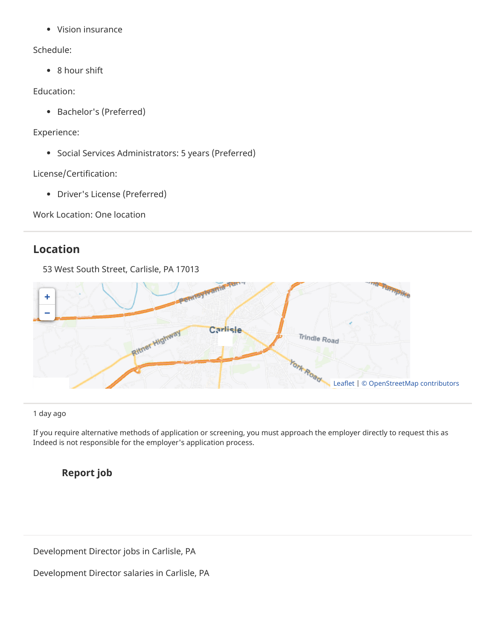Vision insurance

#### Schedule:

• 8 hour shift

#### Education:

Bachelor's (Preferred)

#### Experience:

• Social Services Administrators: 5 years (Preferred)

License/Certification:

Driver's License (Preferred)

Work Location: One location

### **Location**

53 West South Street, Carlisle, PA 17013



1 day ago

If you require alternative methods of application or screening, you must approach the employer directly to request this as Indeed is not responsible for the employer's application process.

## **Report job**

[Development Director jobs in Carlisle, PA](https://www.indeed.com/jobs?from=vj&q=Development+Director&l=Carlisle%2C+PA)

[Development Director salaries in Carlisle, PA](https://www.indeed.com/salary?from=vj&q1=Development+Director&l1=Carlisle%2C+PA)